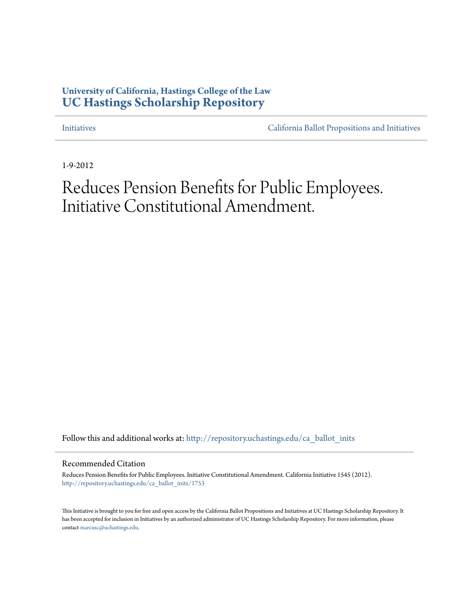# **University of California, Hastings College of the Law [UC Hastings Scholarship Repository](http://repository.uchastings.edu?utm_source=repository.uchastings.edu%2Fca_ballot_inits%2F1753&utm_medium=PDF&utm_campaign=PDFCoverPages)**

[Initiatives](http://repository.uchastings.edu/ca_ballot_inits?utm_source=repository.uchastings.edu%2Fca_ballot_inits%2F1753&utm_medium=PDF&utm_campaign=PDFCoverPages) [California Ballot Propositions and Initiatives](http://repository.uchastings.edu/ca_ballots?utm_source=repository.uchastings.edu%2Fca_ballot_inits%2F1753&utm_medium=PDF&utm_campaign=PDFCoverPages)

1-9-2012

# Reduces Pension Benefits for Public Employees. Initiative Constitutional Amendment.

Follow this and additional works at: [http://repository.uchastings.edu/ca\\_ballot\\_inits](http://repository.uchastings.edu/ca_ballot_inits?utm_source=repository.uchastings.edu%2Fca_ballot_inits%2F1753&utm_medium=PDF&utm_campaign=PDFCoverPages)

Recommended Citation

Reduces Pension Benefits for Public Employees. Initiative Constitutional Amendment. California Initiative 1545 (2012). [http://repository.uchastings.edu/ca\\_ballot\\_inits/1753](http://repository.uchastings.edu/ca_ballot_inits/1753?utm_source=repository.uchastings.edu%2Fca_ballot_inits%2F1753&utm_medium=PDF&utm_campaign=PDFCoverPages)

This Initiative is brought to you for free and open access by the California Ballot Propositions and Initiatives at UC Hastings Scholarship Repository. It has been accepted for inclusion in Initiatives by an authorized administrator of UC Hastings Scholarship Repository. For more information, please contact [marcusc@uchastings.edu](mailto:marcusc@uchastings.edu).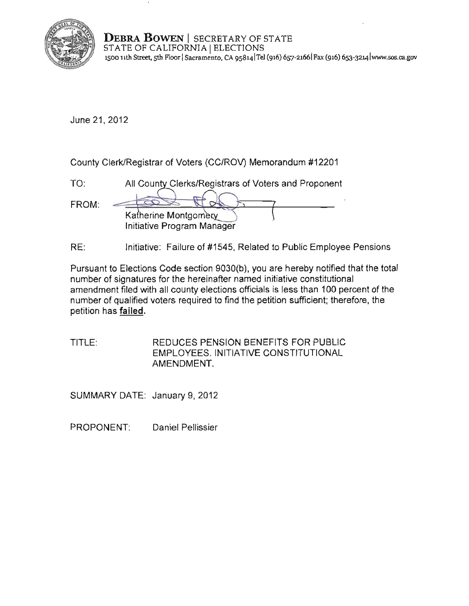

**DEBRA BOWEN** | SECRETARY OF STATE STATE OF CALIFORNIA | ELECTIONS **J500 nth Street, 5th Floor ! Sacramento. CA 9S8141Te1 (916) 657·21661Fax (916) 6S3<3214 lwww.sos.ca.gov** 

June 21,2012

County Clerk/Registrar of Voters (CC/ROV) Memorandum #12201

| T∩·   | All County Clerks/Registrars of Voters and Proponent |
|-------|------------------------------------------------------|
| FROM: |                                                      |
|       | Katherine Montgomery<br>Initiative Program Manager   |

RE: Initiative: Failure of #1545, Related to Public Employee Pensions

Pursuant to Elections Code section 9030(b), you are hereby notified that the total number of signatures for the hereinafter named initiative constitutional amendment filed with all county elections officials is less than 100 percent of the number of qualified voters required to find the petition sufficient; therefore, the petition has **failed**.

TITLE: REDUCES PENSION BENEFITS FOR PUBLIC EMPLOYEES. INITIATIVE CONSTITUTIONAL AMENDMENT.

SUMMARY DATE: January 9, 2012

PROPONENT: Daniel Pellissier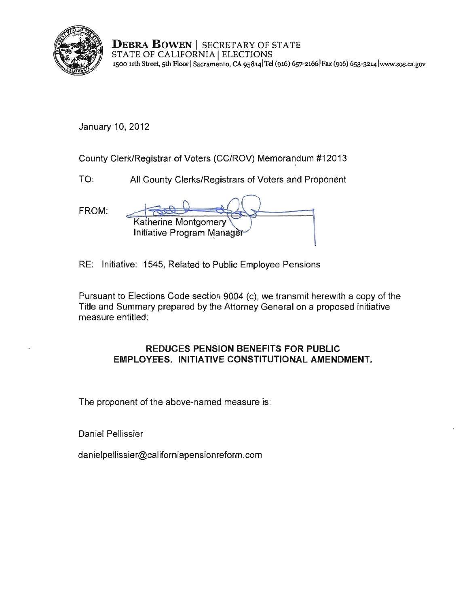

**DEBRA BOWEN** I SECRETARY OF STA TE STATE OF CALIFORNIA I ELECTIONS **1500 11th Street, 5th Floor ISacramento, CA 9S8L4ITel (916) 657-21661 Fax (916) 653-3214lwww.sos.ca.gov** 

January 10, 2012

County Clerk/Registrar of Voters (CC/ROV) Memorandum #12013

TO: All County Clerks/Registrars of Voters and Proponent

FROM: Katherine Montgomery Initiative Program Manage

RE: Initiative: 1545, Related to Public Employee Pensions

Pursuant to Elections Code section 9004 (c), we transmit herewith a copy of the Title and Summary prepared by the Attorney General on a proposed initiative measure entitled:

## **REDUCES PENSION BENEFITS FOR PUBLIC EMPLOYEES.** INITIATIVE **CONSTITUTIONAL AMENDMENT.**

The proponent of the above-named measure is:

Daniel Pellissier

danielpellissier@californiapensionreform.com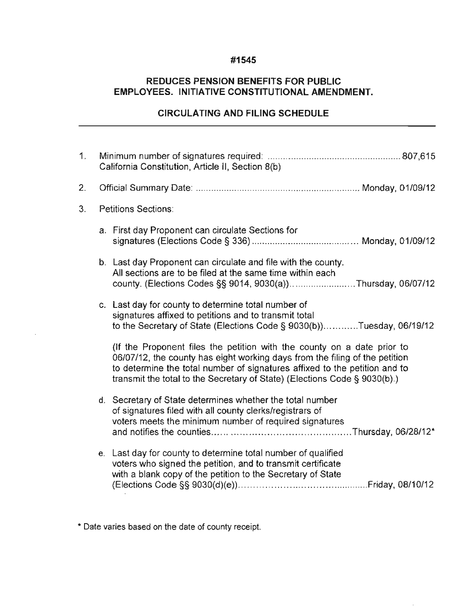### **#1545**

## **REDUCES PENSION BENEFITS FOR PUBLIC EMPLOYEES. INITIATIVE CONSTITUTIONAL AMENDMENT.**

## **CIRCULATING AND FILING SCHEDULE**

| 1. | California Constitution, Article II, Section 8(b) |                                                                                                                                                                                                                                                                                                                   |
|----|---------------------------------------------------|-------------------------------------------------------------------------------------------------------------------------------------------------------------------------------------------------------------------------------------------------------------------------------------------------------------------|
| 2. |                                                   |                                                                                                                                                                                                                                                                                                                   |
| 3. | <b>Petitions Sections:</b>                        |                                                                                                                                                                                                                                                                                                                   |
|    |                                                   | a. First day Proponent can circulate Sections for                                                                                                                                                                                                                                                                 |
|    |                                                   | b. Last day Proponent can circulate and file with the county.<br>All sections are to be filed at the same time within each<br>county. (Elections Codes §§ 9014, 9030(a))Thursday, 06/07/12                                                                                                                        |
|    |                                                   | c. Last day for county to determine total number of<br>signatures affixed to petitions and to transmit total<br>to the Secretary of State (Elections Code § 9030(b))Tuesday, 06/19/12                                                                                                                             |
|    |                                                   | (If the Proponent files the petition with the county on a date prior to<br>06/07/12, the county has eight working days from the filing of the petition<br>to determine the total number of signatures affixed to the petition and to<br>transmit the total to the Secretary of State) (Elections Code § 9030(b).) |
|    |                                                   | d. Secretary of State determines whether the total number<br>of signatures filed with all county clerks/registrars of<br>voters meets the minimum number of required signatures                                                                                                                                   |
|    |                                                   | e. Last day for county to determine total number of qualified<br>voters who signed the petition, and to transmit certificate<br>with a blank copy of the petition to the Secretary of State                                                                                                                       |

**\* Date varies based on the date of county receipt.**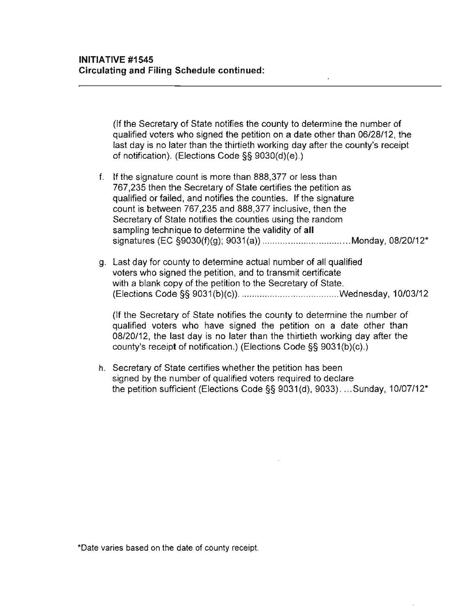(If the Secretary of State notifies Ihe counly to determine the number of qualified voters who signed Ihe petition on a date other than 06/28/12, the last day is no later than the thirtieth working day after the county's receipt of notification). (Elections Code §§ 9030(d)(e).)

- f. **If** the signature count is more than 888,377 or less than 767,235 then the Secretary of State certifies the petition as qualified or failed, and notifies the counties. **If** the signature count is between 767,235 and 888,377 inclusive, then the Secretary of State notifies the counties using the random sampling technique to determine the validity of **all**  signatures (EC §9030(f)(g); 9031 (a)) .................................. Monday, 08/20/12"
- g. Last day for county to determine actual number of all qualified voters who signed the petition, and to transmit certificate with a blank copy of the petition to the Secretary of State. (Elections Code §§ 9031 (b)(c)). ..................... . ...... .wednesday, 10103/12

(If the Secretary of State notifies the county to determine the number of qualified voters who have signed the petition on a date other than 08/20/12, the last day is no later than the thirtieth working day after the county's receipt of notification.) (Elections Code §§ 9031 (b)(c).)

h. Secretary of State certifies whether the petition has been signed by the number of qualified voters required to declare the petition sufficient (Elections Code §§ 9031(d), 9033). ... Sunday,  $10/07/12$ <sup>\*</sup>

**\*Date varies based on the date of county receipt.**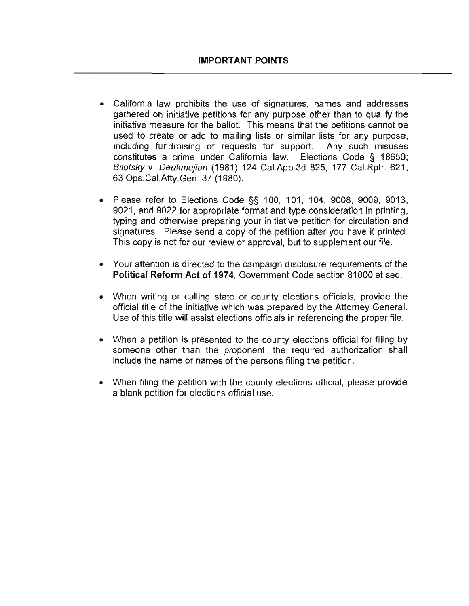- **California law prohibits the use of signatures, names and addresses**  gathered on initiative petitions for any purpose other than to qualify the initiative measure for the ballot. This means that the petitions cannot be used to create or add to mailing lists or similar lists for any purpose, including fundraising or requests for support. Any such misuses constitutes a crime under California law. Elections Code § 18650; Bilofsky v. Deukmejian (1981) 124 Cal.App.3d 825, 177 Cal.Rptr. 621; 63 Ops.CaI.Atty.Gen. 37 (1980).
- Please refer to Elections Code §§ 100, 101, 104, 9008, 9009, 9013, 9021, and 9022 for appropriate format and type consideration in printing, typing and otherwise preparing your initiative petition for circulation and signatures. Please send a copy of the petition after you have it printed. This copy is not for our review or approval, but to supplement our file.
- **Your attention is directed to the campaign disclosure requirements of the**  Political Reform Act of 1974, Government Code section 81000 et seq.
- When writing or calling state or county elections officials, provide the official title of the initiative which was prepared by the Attorney General. Use of this title will assist elections officials in referencing the proper file.
- When a petition is presented to the county elections official for filing by someone other than the proponent, the required authorization shall include the name or names of the persons filing the petition.
- When filing the petition with the county elections official, please provide a blank petition for elections official use.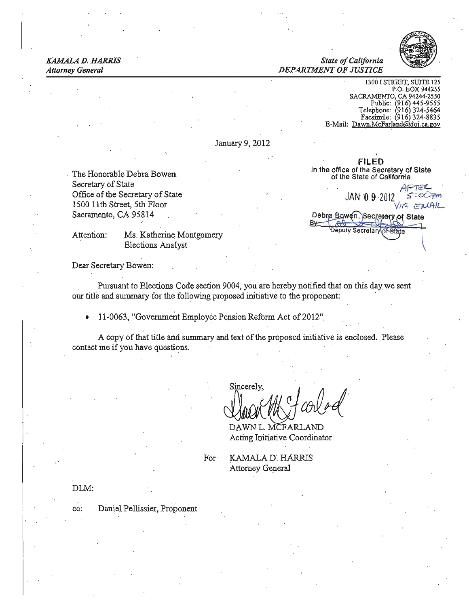*KAMALAD. HARlIlS State ofCalifornia Attorney General DEPARTMENT OF JUSTICE* 



1300 I STREET, SUITE 125 P.O. BOX 944255<br>SACRAMENTO, CA 94244-2550 Public: (916) 445-9555<br>
Public: (916) 324-5464<br>
Facsimile: (916) 324-8835 E-Mail: Dawn.McFarland@doj.ca.gov

January 9, 2012

1500 11th Street, 5th Floor<br>Sacramento, CA 95814

Attention: Ms. Katherine Montgomery Elections Analyst

In the office of the Secretary of State . The Honorable Debra Bowen . The Honorable Debra Bowen of the State of California Secretary of State AFTER<br>Office of the Secretary of State After After After After After After After After After After After After After Office of the Secretary of State JAN' 09 2012  $\leq$ : COPM<br>1500 11th Street, 5th Floor Debna Bowen, Secretary of State Deputy Secretary

FILED

Dear Secretary Bowen:

Pursuant to Elections Code section 9004, you are hereby notified that on this day we sent our title and summary for the following proposed initiative to the proponent:

• 11-0063, "Government Employee Pension Reform Act of 2012"

A copy of that title and summary and text of the proposed initiative is enclosed. Please contact me if you have questions.

Sincerely,<br> $\mathcal{U} \in \mathcal{U}$   $\mathcal{U} \subset \mathcal{U}$ 

DAWN L. MCFARLAND Acting Initiative Coordinator

For **KAMALAD.HARRIS** Attorney General

DLM:

cc: Daniel Pellissier, Proponent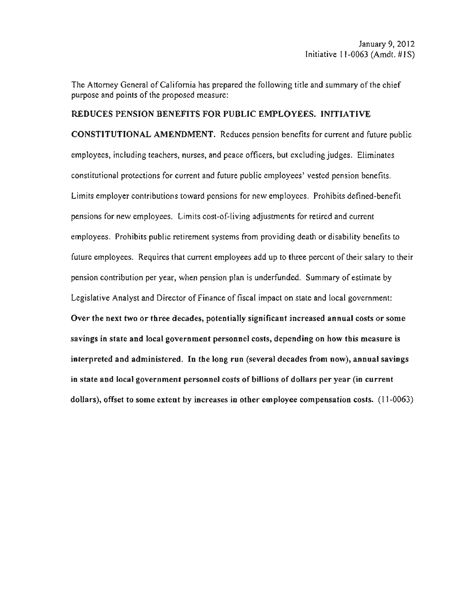The Attorney General of California has prepared the following title and summary of the chief purpose and points of the proposed measure:

#### REDUCES PENSION BENEFITS FOR PUBLIC EMPLOYEES. INITlAT1VE

CONSTITUTIONAL AMENDMENT. Reduces pension benefits for current and future public employees, including teachers, nurses, and peace officers, but excluding judges. Eliminates constitutional protections for current and future public employees' vested pension benefits. Limits employer contributions toward pensions for new employees. Prohibits defined-benefit pensions for new employees. Limits cost-of-living adjustments for retired and current employees. Prohibits public retirement systems from providing death or disability benefits to future employees. Requires that current employees add up to three percent of their salary to their pension contribution per year, when pension plan is underfunded. Summary of estimate by Legislative Analyst and Director of Finance of fiscal impact on state and local government: Over the next two or three decades, potentially significant increased annual costs or some savings in state and local government personnel costs, depending on how this measure is interpreted and administered. In the long run (several decades from now), annual savings in state and local government personnel costs of billions of dollars per year (in current dollars), offset to some extent by increases in other employee compensation costs. (11-0063)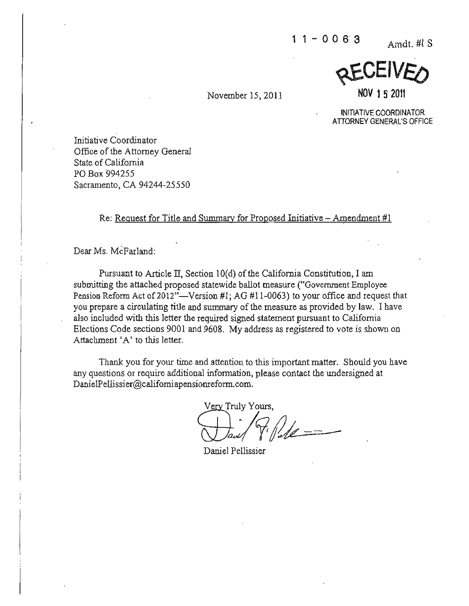REVEIVED

November 15, 2011 **NOV 1S2011** 

INITIATIVE COOROINATOR ATTORNEY GENERAL'S OFFICE

**Initiative Coordinator**  Office of the Attorney General State of California PO Box '994255 Sacramento, CA 94244-25550

#### Re: Request for Title and Summary for Proposed Initiative – Amendment #1

Dear Ms. McFarland:

Pursuant to Article II, Section  $10(d)$  of the California Constitution, I am submitting the attached proposed statewide ballot measure ("Government Employee Pension Reform Act of 2012"-Version #1; AG #11-0063) to your office and request that you prepare a circulating title and summary of the measure as provided by law. I have also included with this letter the required signed statement pursuant to California Elections Code sections 9001 and 9608. My address as registered to vote is sbown on Attachment'A' to this letter.

Thank you for your time and attention to this important matter. Sbould you bave any questions or require additional information, please contact the undersigned at **DanielPellissier@californiapensionrefonn.com.** 

Very Truly Yours,

Daniel Pellissier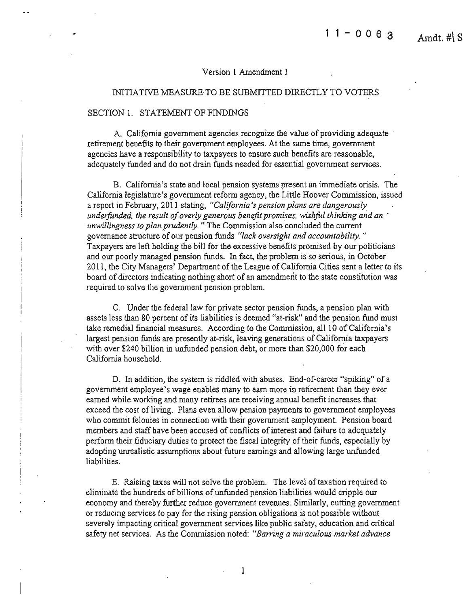#### Version 1 Amendment 1

#### INITIATIVE MEASURETO BE SUBMITTED DIRECTLY TO VOTERS

#### SECTION 1. STATEMENT OF FINDINGS

A. California government agencies recognize the value of providing adequate retirement benefits to their government employees. At the same time, government agencies have a responsibility to taxpayers to ensure such benefits are reasonable, adequately funded and do not drain funds needed for essential government services.

B. California's state and local pension systems present an immediate crisis. The California legislature's government refonn agency. the Little Hoover Commission, issued a report in February. 201] stating, *"California's pension plans are dangerously underfunded. the result 0/overly generous benefit promises. wishfol thinking and an . unwillingness to plan prudently.* "The Commission also concluded the current governance structure of our pension funds "lack oversight and accountability." Taxpayers are left holding the bill for the excessive benefits promised by our politicians and our poorly managed pension funds. In fact, the problem is so serious, in October 2011, the City Managers' Department of the League of California Cities sent a letter to its board of directors indicating nothing short of an amendment to the state constitution was required to solve the government pension problem.

C. Under the federal law for private sector pension funds, a pension plan with assets less than 80 percent of its liabilities is deemed "at-risk" and the pension fund must take remedial financial measures. According to the Commission, all 10 of California's largest pension funds are presently at-risk, leaving generations of California taxpayers with over \$240 billion in unfunded pension debt, or more than \$20,000 for each California household.

D. In addition, the system is riddled with abuses. End-of-career "spiking" of a government employee's wage enables many to earn more in retirement than they ever earned while working and many retirees are receiving annual benefit increases that exceed the cost of living. Plans even allow pension payments to government employees who commit felonies in connection with their government employment. Pension board members and staff have been accused of conflicts of interest and failure to adequately perform their fiduciary duties to protect the fiscal integrity of their funds, especially by adopting unrealistic assumptions about future earnings and allowing large unfunded liabilities. .

E. Raising taxes will not solve the problem. The level of taxation required to eliminate the hundreds of billions of unfunded pension liabilities would cripple our economy and thereby further reduce government revenues. Similarly. cutting government or reducing services to pay for the rising pension obligations is not possible without severely impacting critical government services like public safety, education and criticaJ safety net services. As the Commission noted: *"Bam'ng a miraculous market advance*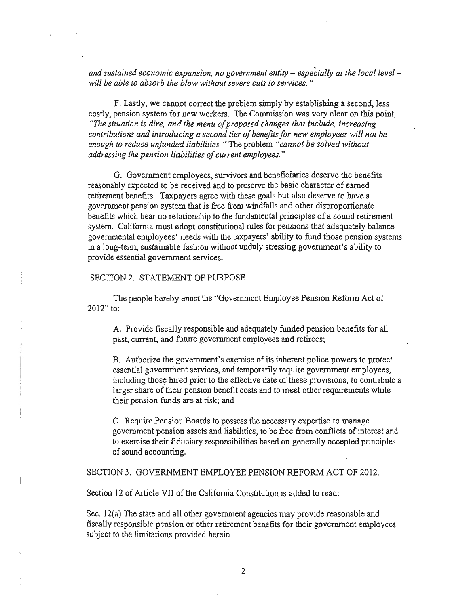and sustained economic expansion, no government entity – especially at the local level – will be able to absorb the blow without severe cuts to services."

F. Lastly. we cannot correct the problem simply by establishing a second, less costly, pension system for new workers. The Commission was very clear on this point, *"The situation is dire, and the menu a/proposed changes that include, increasing contributions and introducing a second tier of benefits for new employees will not be enough to reduce unfunded liabilities.* "The problem *"cannot be solved without*  addressing the pension liabilities of current employees."

G. Government employees, survivors and beneficiaries deserve the benefits reasonably expected to be received and to preserve the basic character of earned retirement benefits. Taxpayers agree with these goals but also deserve to have a government pension system that is free from windfalls and other disproportionate benefits which bear no relationship to the fundamental principles of a sound retirement system. California must adopt constitutional rules for pensions that adequately balance governmental employees' needs with the taxpayers' ability to fund those pension systems in a long-term, sustainable fashion without unduly stressing government's abihty to provide essential government services.

#### SECTION 2. STATEMENT OF PURPOSE

The people hereby enact the "Government Employee Pension Reform Act of The people needly enact the Advertision Employee I custom Ref.<br>2012" fo

A. Provide fiscally responsible and adequately funded pension benefits for all past, current, and future government employees and retirees;

B. Authorize the government's exercise of its inherent police powers to protect essential government services, and temporarily require government employees, including those hired prior to the effective date of these provisions, to contribute a larger share of their pension benefit costs and to meet other requirements while their pension funds are at risk; and

C. Require Pension Boards to possess the necessary expertise to manage. government pension assets and liabilities. to be free from conflicts of interest and to exercise their fiduciary responsibilities based on generally accepted principles of sound accounting.

SECTION 3. GOVERNMENT EMPLOYEE PENSION REFORM ACT OF 2012.

Section 12 of Article VII of the California Constitution is added to read:

Sec. 12(a) The state and all other government agencies may provide reasonable and fiscally responsible pension or other retirement benefits for their government employees subject to the limitations provided herein.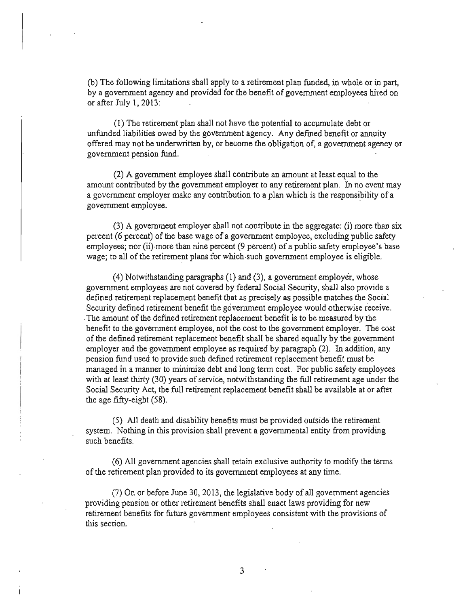(b) The following limitations shall apply to a retirement plan funded, in whole or in part. by a government agency and provided for the benefit of government employees hired on or after July I, 2013:

(1) The retirement plan shall not have the potential to accwnulate debt or unfunded liabilities owed by the government agency. Any defmed benefit or annuity offered may not be underwritten by. or become the obligation of, a government agency or government pension fund.

 $(2)$  A government employee shall contribute an amount at least equal to the amount contributed by the government employer to any retirement plan. In no event may a government employer make any contribution to a plan which is the responsibility of a government employee. .

(3) A government employer shall not contribute in the aggregate: (i) more than six percent (6 percent) of the base wage of a government employee, excluding public safety employees; nor (ii) more than nine percent (9 percent) of a public safety employee's base wage; to all of the retirement plans for which such government employee is eligible.

(4) Notwithstanding paragraphs (1) and (3), a government employer, whose government employees are not covered by federal Social Security, shall also provide a defined retirement replacement benefit that as precisely as possible matches the Social Security defined retirement benefit the government employee would otherwise receive . . The amount of the defined retirement replacement benefit is to be measured by the benefit to the government employee, not the cost to the government employer. The cost of the defined retirement replacement benefit shall be shared equally by the government employer and the government employee as required by paragraph (2). In addition, any pension fund used to provide such defined retirement replacement benefit must be managed in a manner to minimize debt and long tenn cost. For public safety employees with at least thirty (30) years of service, notwithstanding the full retirement age under the Social Security Act, the full retirement replacement benefit shall be available at or after the age fifty-eight  $(58)$ .

(5) All death and disability benefits must be provided outside the retirement system. Nothing in this provision shall prevent a governmental entity from providing such benefits.

(6) All government agencies shall retain exclusive authority to modify the terms of the retirement plan provided to its government employees at any time.

 $(7)$  On or before June 30, 2013, the legislative body of all government agencies providing pension or other retirement benefits shall enact laws providing for new retirement benefits for future government employees consistent with the provisions of this section.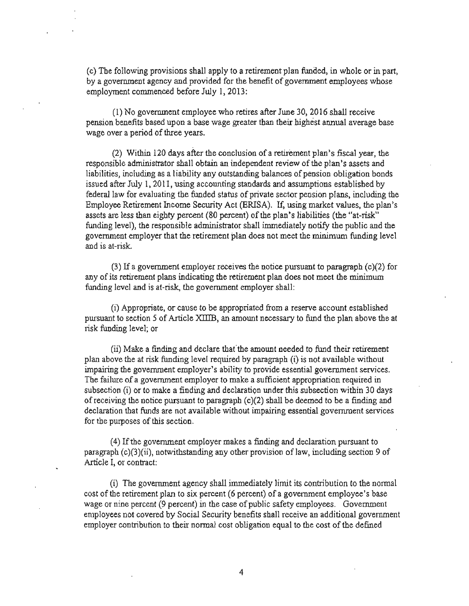(c) The following provisions shall apply to a retirement plan funded, in whole or in part, by a government agency and provided for the benefit of government employees whose employment commenced before July 1,2013:

(1) No government employee who retires after June 30, 2016 shall receive pension benefits based upon a base wage greater than their highest annual average base wage over a period of three years.

(2) Within 120 days after the conclusion of a retirement plan's fiscal year, the responsible administrator shall obtain an independent review of the plan's assets and liabilities, including as a liability any outstanding balances of pension obligation bonds issued after July 1,2011, using accounting standards and assumptions established by federal law for evaluating the funded status of private sector pension plans, including the Employee Retirement Income Security Act (ERISA). If, using market values, the plan's assets are less than eighty percent (80 percent) of the plan's liabilities (the "at-risk" funding level), the responsible administrator shall immediately notify the public and the government employer that the retirement plan does not meet the minimum funding level and is at-risk.

(3) If a government employer receives the notice pursuant to paragraph  $(c)(2)$  for any of its retirement plans indicating the retirement plan does not meet the minimum funding level and is at-risk, the government employer shall:

(i) Appropriate, or cause to be appropriated from a reserve account established pursuant to section 5 of Article XIIIB, an amount necessary to fund the plan above the at risk funding level; or

(ii) Make a finding and declare that the amount needed to fund their retirement plan above the at risk funding level required by paragraph (i) is not available without impairing the government employer's ability to provide essential government services. The failure of a government employer to make a sufficient appropriation required in subsection  $(i)$  or to make a finding and declaration under this subsection within 30 days of receiving the notice pursuant to paragraph (c)(2) shall be deemed to be a finding and declaration that funds are not available without impairing essential government services for the purposes of this section.

(4) Ifthe government employer makes a finding and declaration pursuant to paragraph (c)(3)(ii), notwithstanding any other provision of law, including section 9 of Article I, or contract:

(i) The government agency shall immediately limit its contribution to the normal cost of the retirement plan to six percent (6 percent) of a government employee's base wage or nine percent (9 percent) in the case of public safety employees. Government employees not covered by Social Security benefits shall receive an additional government employer contribution to their normal cost obligation equal to the cost of the defined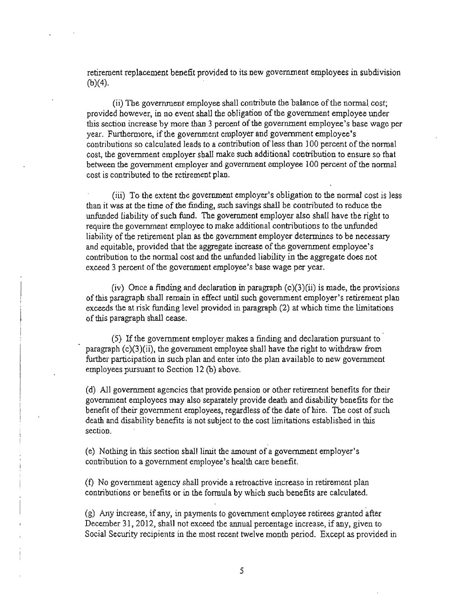retirement replacement benefit provided to its new government employees in subdivision  $(b)(4)$ .

(ii) The government employee shall contribute the balance of the normal cost; provided however, in no event shall the obligation of the government employee under this section increase by more than 3 percent of the government employee's base wage per year. Furthermore, if the government employer and government employee's contributions so calculated leads to a contribution of less than 100 percent of the normal cost, the government employer shall make such additional contribution to ensure so that between the government employer and government employee 100 percent of the normal cost is contributed to the retirement plan.

(iii) To the extent the government employer's obligation to the normal cost is less than it was at the time of the finding, such savings shall be contributed to reduce the unfimded liability of such fund. The government employer also shall have the right to require the government employee to make additional contributions to the unfunded liability of the retirement plan as the government employer determines to be necessary and equitable, provided that the aggregate increase of the government employee's contribution to the normal cost and the unfunded liability in the aggregate does not exceed 3 percent of the government employee's base wage per year.

(iv) Once a finding and declaration in paragraph  $(c)(3)(ii)$  is made, the provisions ofthis paragraph shall remain in effect until such government employer's retirement plan exceeds the at risk funding level provided in paragraph (2) at which time the limitations of this paragraph shall cease.

(5) Ifthe government employer makes a finding and declaration pursuant to paragraph (c)(3)(ii), the government employee shall have the right to withdraw from further participation in such plan and enter into the plan available to new government employees pursuant to Section 12 (b) above.

(d) All government agencies that provide pension or other retirement benefits for their government employees may also separately provide death and disability benefits for the benefit of their government employees, regardless of the date of bire. The cost of such death and disability benefits is not subject to the cost limitations established in this section.

(e) Nothing in this section shall limit the amount of a government employer's contribution to a government employee's health care benefit.

(f) No government agency shall provide a retroactive increase in retirement plan contributions or benefits or in the fonnula by which such benefits are calculated.

(g) Any increase, ifany, in payments to government employee retirees granted after December 31, 2012, shall not exceed the annual percentage increase, if any, given to Social Security recipients in the most recent twelve month period. Except as provided in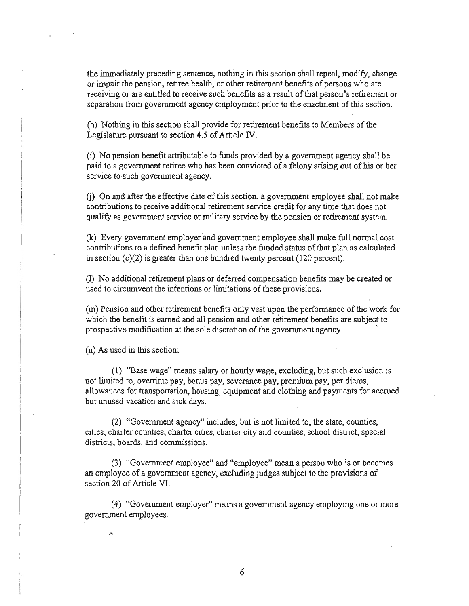the immediately preceding sentence, nothing in this section shall repeal, modify, change or impair the pension, retiree health, or other retirement benefits of persons who are receiving or are entitled to receive such benefits as a result of that person's retirement or separation from government agency employment prior to the enactment of this section.

(h) Nothing in this section shall provide for retirement benefits to Members of the Legislature pursuant to section 4.5 of Article IV.

(i) No pension benefit attributable to funds provided by a government agency shall be paid to a government retiree who has been convicted ofa felony arising out ofhis or her service to such government agency.

 $(i)$  On and after the effective date of this section, a government employee shall not make contributions to receive additional retirement service credit for any time that does not qualify as government service or military service by the pension or retirement system.

(k) Every government employer and government employee shall make full normal cost contributions to a defined benefit plan unless the funded status of that plan as calculated in section  $(c)(2)$  is greater than one hundred twenty percent (120 percent).

(I) No additional retirement plans or deferred compensation benefits may be created or used to circumvent the intentions or limitations of these provisions.

(m) Pension and other retirement benefits only vest upon the perfonnance of the work for which the benefit is earned and all pension and other retirement benefits are subject to prospective modification at the sole discretion of the government agency.

(n) As used in this section:

(1) "Base wage" means salary or hourly wage, excluding, but such exclusion is not limited to, overtime pay, bonus pay, severance pay, premium pay, per diems, allowances for transportation, housing, equipment and clothing and payments for accrued but unused vacation and sick days.

(2) "Government agency" includes, but is not limited to, the state, counties, cities, charter counties, charter cities, charter city and counties, school district, special districts, boards, and commissions.

(3) "Government employee" and "employee" mean a person who is or becomes an employee of a government agency, excluding judges subject to the provisions of section 20 of Article VI.

(4) "Government employer" means a government agency employing one or more government employees.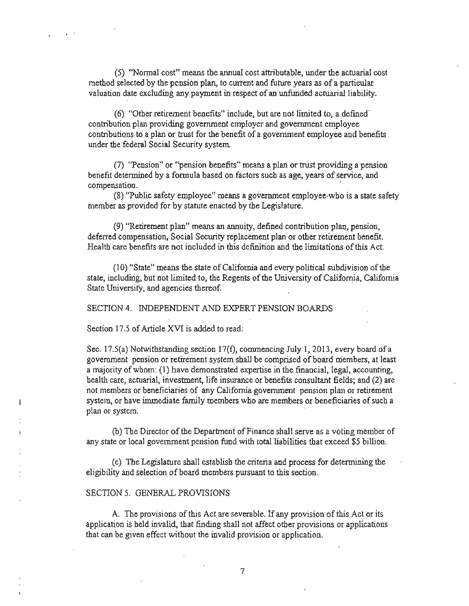(5) "Nonna! cost" means the annual cost attributable. under the actuarial cost method selected by the pension plan, to current and future years as of a particular valuation date excluding any payment in respect of an unfunded actuarial liability.

 $(6)$  "Other retirement benefits" include, but are not limited to, a defined contribution plan providing government employer and government employee contributions to a plan or trust for the benefit of a government employee and benefits under the federal Social Security system.

(7) "Pension" or "'pension benefits" means a plan or trust providing a pension benefit determined by a formula based on factors such as age, years of service, and compensation.

(8) "Public safety employee" means a government employee-who is a state safety member as provided for by statute enacted by the Legislature.

(9) "Retirement plan" means an annuity, defined contribution plan, pension, deferred compensation, Social Security replacement plan or other retirement benefit. Health care benefits are not included in this definition and the limitations of this Act.

 $(10)$  "State" means the state of California and every political subdivision of the state, including, but not limited to, the Regents of the University of California, California State University, and agencies thereof. .

SECTION 4. INDEPENDENT AND EXPERT PENSION BOARDS

Section 17.5 of Article XVI is added to read:

 $\mathbf{r}$ 

Sec. 17.5(a) Notwithstanding section  $17(f)$ , commencing July 1, 2013, every board of a government pension or retirement system shall be comprised ofboard members, at least a majority of whom: (1) have demonstrated expertise in the financial, legal, accounting, health care, actuarial, investment, life insurance or benefits consultant fields; and (2) are not members or beneficiaries of any California govenunent pension plan or retirement system, or have immediate family members who are members or beneficiaries of such a plan or system.

(b) The Director of the Department of Finance shall serve as a voting member of any state or local government pension fund with total liabilities that exceed \$5 billion.

(c) The Legislature shall establish the criteria and process for detennining the eligibility and selection of board members pursuant to this section.

#### SECTION 5. GENERAL PROVISIONS

A. The provisions of this Act are severable. If any provision of this Act or its application is held invalid, that finding shall not affect other provisions or applications that can be given effect without the invalid provision or application.